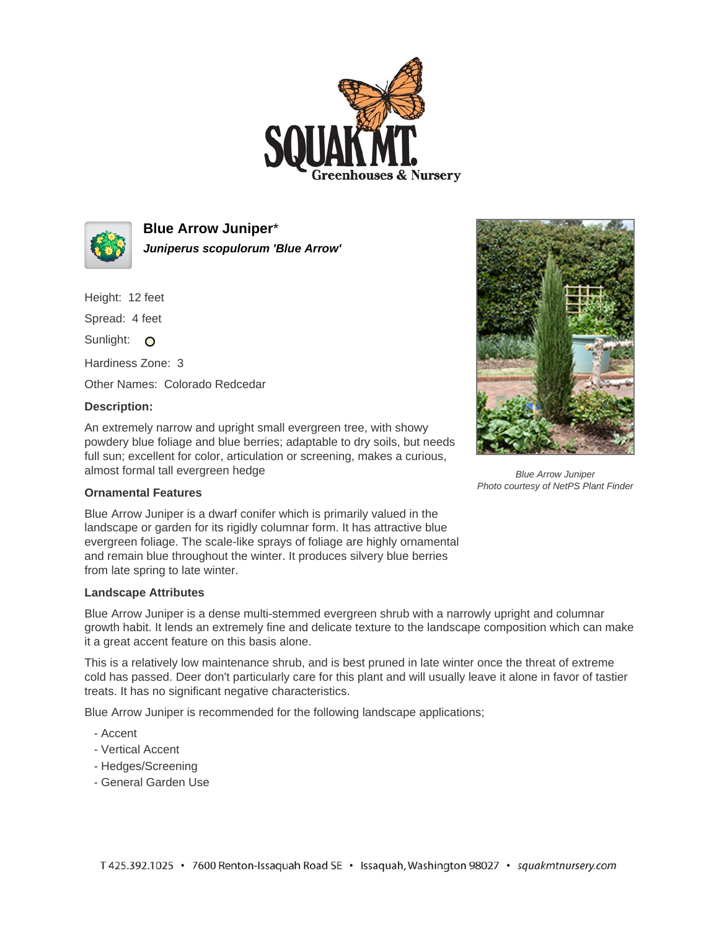



**Blue Arrow Juniper**\* **Juniperus scopulorum 'Blue Arrow'**

Height: 12 feet

Spread: 4 feet

Sunlight: O

Hardiness Zone: 3

Other Names: Colorado Redcedar

## **Description:**

An extremely narrow and upright small evergreen tree, with showy powdery blue foliage and blue berries; adaptable to dry soils, but needs full sun; excellent for color, articulation or screening, makes a curious, almost formal tall evergreen hedge



Blue Arrow Juniper Photo courtesy of NetPS Plant Finder

## **Ornamental Features**

Blue Arrow Juniper is a dwarf conifer which is primarily valued in the landscape or garden for its rigidly columnar form. It has attractive blue evergreen foliage. The scale-like sprays of foliage are highly ornamental and remain blue throughout the winter. It produces silvery blue berries from late spring to late winter.

## **Landscape Attributes**

Blue Arrow Juniper is a dense multi-stemmed evergreen shrub with a narrowly upright and columnar growth habit. It lends an extremely fine and delicate texture to the landscape composition which can make it a great accent feature on this basis alone.

This is a relatively low maintenance shrub, and is best pruned in late winter once the threat of extreme cold has passed. Deer don't particularly care for this plant and will usually leave it alone in favor of tastier treats. It has no significant negative characteristics.

Blue Arrow Juniper is recommended for the following landscape applications;

- Accent
- Vertical Accent
- Hedges/Screening
- General Garden Use